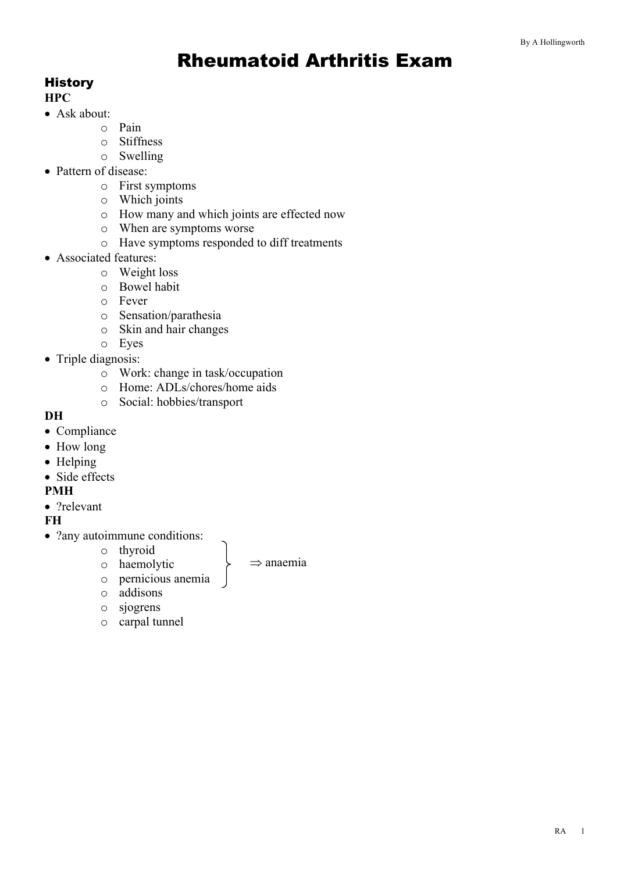# Rheumatoid Arthritis Exam

## **History**

## **HPC**

- Ask about:
	- o Pain
	- o Stiffness
	- o Swelling
- Pattern of disease:
	- o First symptoms
	- o Which joints
	- o How many and which joints are effected now
	- o When are symptoms worse
	- o Have symptoms responded to diff treatments
- Associated features:
	- o Weight loss
	- o Bowel habit
	- o Fever
	- o Sensation/parathesia
	- o Skin and hair changes
	- o Eyes
- Triple diagnosis:
	- o Work: change in task/occupation
	- o Home: ADLs/chores/home aids
	- o Social: hobbies/transport

#### **DH**

- Compliance
- How long
- Helping
- Side effects

#### **PMH**

• ?relevant

## **FH**

- ?any autoimmune conditions:
	- o thyroid

 $\Rightarrow$  anaemia

- o haemolytic o pernicious anemia
- o addisons
- o sjogrens
- o carpal tunnel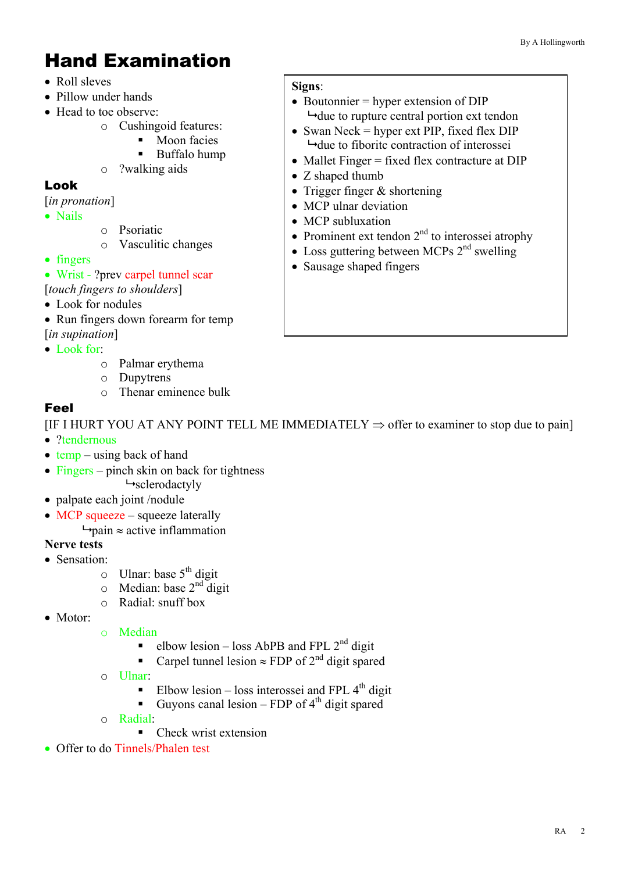# Hand Examination

- Roll sleves
- Pillow under hands
- Head to toe observe:
	- o Cushingoid features:
		- Moon facies
		- § Buffalo hump
	- o ?walking aids

## Look

- [*in pronation*]
- Nails
- o Psoriatic
- o Vasculitic changes
- fingers
- Wrist ?prev carpel tunnel scar
- [*touch fingers to shoulders*]
- Look for nodules
- Run fingers down for earm for temp [*in supination*]
- Look for:
	- o Palmar erythema
		- o Dupytrens
		- o Thenar eminence bulk

## Feel

[IF I HURT YOU AT ANY POINT TELL ME IMMEDIATELY  $\Rightarrow$  offer to examiner to stop due to pain] • ?tendernous

- $\bullet$  temp using back of hand
- Fingers pinch skin on back for tightness  $\rightarrow$ sclerodactyly
- palpate each joint /nodule
- MCP squeeze squeeze laterally
	- $\rightarrow$  pain  $\approx$  active inflammation

## **Nerve tests**

- Sensation:
	- $\circ$  Ulnar: base 5<sup>th</sup> digit
	- $\circ$  Median: base 2<sup>nd</sup> digit
	- o Radial: snuff box
- Motor:
- o Median
	- elbow lesion loss AbPB and FPL  $2<sup>nd</sup>$  digit
	- Carpel tunnel lesion  $\approx$  FDP of 2<sup>nd</sup> digit spared
- o Ulnar:
	- Elbow lesion loss interossei and FPL  $4<sup>th</sup>$  digit
	- Guyons canal lesion FDP of  $4<sup>th</sup>$  digit spared
- o Radial:
	- Check wrist extension
- Offer to do Tinnels/Phalen test

#### **Signs**:

- Boutonnier = hyper extension of DIP  $\rightarrow$  due to rupture central portion ext tendon
- Swan Neck = hyper ext PIP, fixed flex  $DIP$  $\rightarrow$  due to fiboritc contraction of interossei
- Mallet Finger = fixed flex contracture at DIP
- Z shaped thumb
- Trigger finger & shortening
- MCP ulnar deviation
- MCP subluxation
- Prominent ext tendon  $2<sup>nd</sup>$  to interossei atrophy
- Loss guttering between MCPs  $2<sup>nd</sup>$  swelling
- Sausage shaped fingers